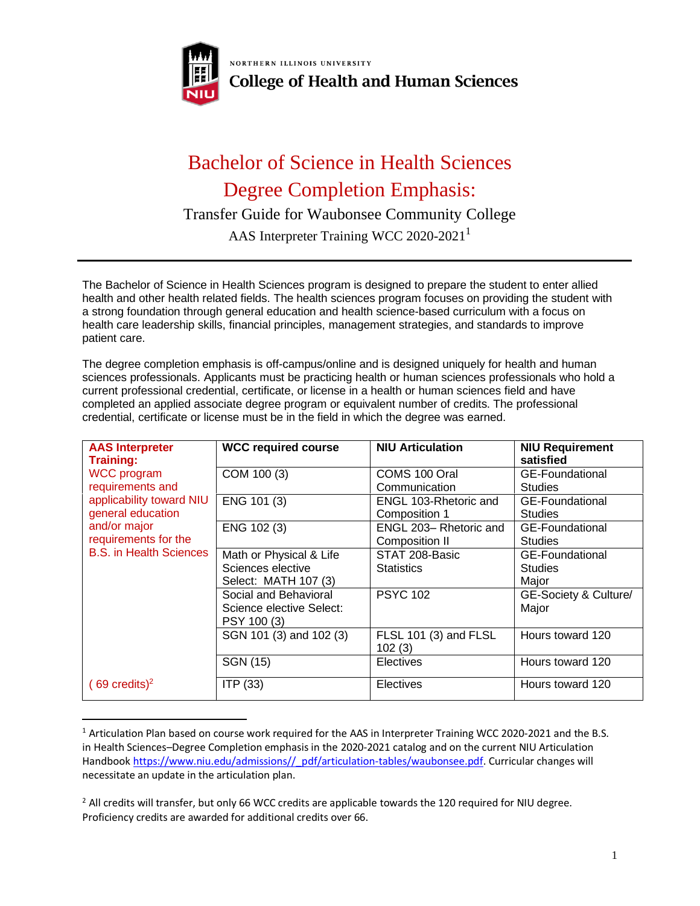

NORTHERN ILLINOIS UNIVERSITY **College of Health and Human Sciences** 

## Bachelor of Science in Health Sciences Degree Completion Emphasis:

Transfer Guide for Waubonsee Community College

AAS Interpreter Training WCC 2020-2021<sup>1</sup>

The Bachelor of Science in Health Sciences program is designed to prepare the student to enter allied health and other health related fields. The health sciences program focuses on providing the student with a strong foundation through general education and health science-based curriculum with a focus on health care leadership skills, financial principles, management strategies, and standards to improve patient care.

The degree completion emphasis is off-campus/online and is designed uniquely for health and human sciences professionals. Applicants must be practicing health or human sciences professionals who hold a current professional credential, certificate, or license in a health or human sciences field and have completed an applied associate degree program or equivalent number of credits. The professional credential, certificate or license must be in the field in which the degree was earned.

| <b>AAS Interpreter</b><br><b>Training:</b>                                                                                                                        | <b>WCC required course</b> | <b>NIU Articulation</b>         | <b>NIU Requirement</b><br>satisfied |
|-------------------------------------------------------------------------------------------------------------------------------------------------------------------|----------------------------|---------------------------------|-------------------------------------|
| <b>WCC</b> program<br>requirements and<br>applicability toward NIU<br>general education<br>and/or major<br>requirements for the<br><b>B.S.</b> in Health Sciences | COM 100 (3)                | COMS 100 Oral                   | <b>GE-Foundational</b>              |
|                                                                                                                                                                   |                            | Communication                   | <b>Studies</b>                      |
|                                                                                                                                                                   | ENG 101 (3)                | ENGL 103-Rhetoric and           | <b>GE-Foundational</b>              |
|                                                                                                                                                                   |                            | Composition 1                   | <b>Studies</b>                      |
|                                                                                                                                                                   | ENG 102 (3)                | ENGL 203- Rhetoric and          | GE-Foundational                     |
|                                                                                                                                                                   |                            | Composition II                  | <b>Studies</b>                      |
|                                                                                                                                                                   | Math or Physical & Life    | STAT 208-Basic                  | <b>GE-Foundational</b>              |
|                                                                                                                                                                   | Sciences elective          | <b>Statistics</b>               | <b>Studies</b>                      |
|                                                                                                                                                                   | Select: MATH 107 (3)       |                                 | Major                               |
|                                                                                                                                                                   | Social and Behavioral      | <b>PSYC 102</b>                 | GE-Society & Culture/               |
|                                                                                                                                                                   | Science elective Select:   |                                 | Major                               |
|                                                                                                                                                                   | PSY 100 (3)                |                                 |                                     |
|                                                                                                                                                                   | SGN 101 (3) and 102 (3)    | FLSL 101 (3) and FLSL<br>102(3) | Hours toward 120                    |
|                                                                                                                                                                   | SGN (15)                   | <b>Electives</b>                | Hours toward 120                    |
| $(69 \text{ credits})^2$                                                                                                                                          | ITP (33)                   | <b>Electives</b>                | Hours toward 120                    |

<sup>1</sup> Articulation Plan based on course work required for the AAS in Interpreter Training WCC 2020-2021 and the B.S. in Health Sciences–Degree Completion emphasis in the 2020-2021 catalog and on the current NIU Articulation Handbook [https://www.niu.edu/admissions//\\_pdf/articulation-tables/waubonsee.pdf.](https://www.niu.edu/admissions/_pdf/articulation-tables/waubonsee.pdf) Curricular changes will necessitate an update in the articulation plan.

 $<sup>2</sup>$  All credits will transfer, but only 66 WCC credits are applicable towards the 120 required for NIU degree.</sup> Proficiency credits are awarded for additional credits over 66.